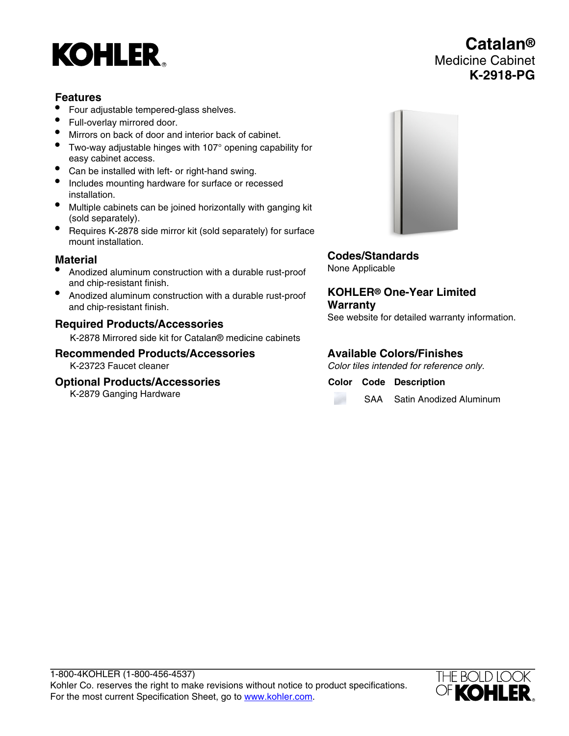# **KOHLER**

# **Features**

- Four adjustable tempered-glass shelves.
- Full-overlay mirrored door.
- Mirrors on back of door and interior back of cabinet.
- Two-way adjustable hinges with 107° opening capability for easy cabinet access.
- Can be installed with left- or right-hand swing.
- Includes mounting hardware for surface or recessed installation.
- Multiple cabinets can be joined horizontally with ganging kit (sold separately).
- Requires K-2878 side mirror kit (sold separately) for surface mount installation.

# **Material**

- Anodized aluminum construction with a durable rust-proof and chip-resistant finish.
- Anodized aluminum construction with a durable rust-proof and chip-resistant finish.

## **Required Products/Accessories**

K-2878 Mirrored side kit for Catalan® medicine cabinets

## **Recommended Products/Accessories**

K-23723 Faucet cleaner

#### **Optional Products/Accessories**

K-2879 Ganging Hardware



**Codes/Standards** None Applicable

**KOHLER® One-Year Limited Warranty** See website for detailed warranty information.

## **Available Colors/Finishes**

Color tiles intended for reference only.

**Color Code Description**

SAA Satin Anodized Aluminum



**Catalan®** Medicine Cabinet **K-2918-PG**